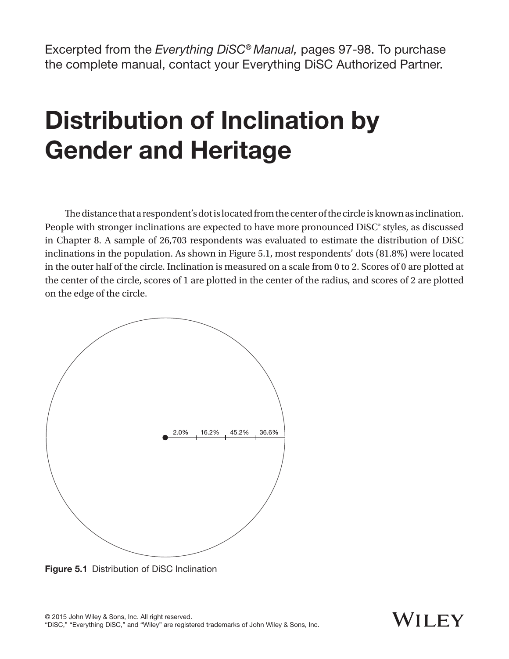Excerpted from the *Everything DiSC® Manual,* pages 97-98. To purchase the complete manual, contact your Everything DiSC Authorized Partner.

## Distribution of Inclination by Gender and Heritage

The distance that a respondent's dot is located from the center of the circle is known as inclination. People with stronger inclinations are expected to have more pronounced DiSC® styles, as discussed in Chapter 8. A sample of 26,703 respondents was evaluated to estimate the distribution of DiSC inclinations in the population. As shown in Figure 5.1, most respondents' dots (81.8%) were located in the outer half of the circle. Inclination is measured on a scale from 0 to 2. Scores of 0 are plotted at the center of the circle, scores of 1 are plotted in the center of the radius, and scores of 2 are plotted on the edge of the circle.



Figure 5.1 Distribution of DiSC Inclination

## WII FY